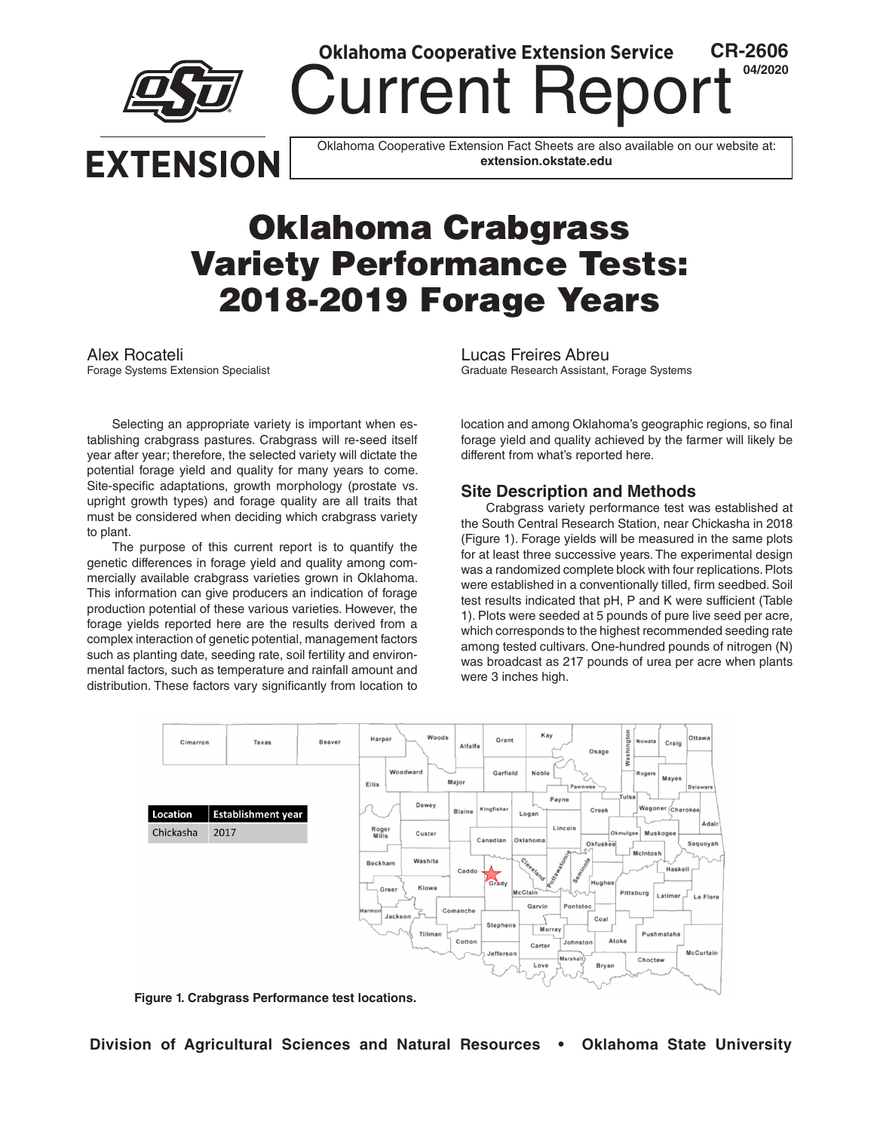

**Current Re** 

**Oklahoma Cooperative Extension Service**

Oklahoma Cooperative Extension Fact Sheets are also available on our website at: **extension.okstate.edu**

# Oklahoma Crabgrass Variety Performance Tests: 2018-2019 Forage Years

Selecting an appropriate variety is important when establishing crabgrass pastures. Crabgrass will re-seed itself year after year; therefore, the selected variety will dictate the potential forage yield and quality for many years to come. Site-specific adaptations, growth morphology (prostate vs. upright growth types) and forage quality are all traits that must be considered when deciding which crabgrass variety to plant.

The purpose of this current report is to quantify the genetic differences in forage yield and quality among commercially available crabgrass varieties grown in Oklahoma. This information can give producers an indication of forage production potential of these various varieties. However, the forage yields reported here are the results derived from a complex interaction of genetic potential, management factors such as planting date, seeding rate, soil fertility and environmental factors, such as temperature and rainfall amount and distribution. These factors vary significantly from location to

Alex Rocateli<br>
Forage Systems Extension Specialist<br>
Forage Systems Extension Specialist<br>
Canaduate Research Assistant, Graduate Research Assistant, Forage Systems

> location and among Oklahoma's geographic regions, so final forage yield and quality achieved by the farmer will likely be different from what's reported here.

**CR-2606 04/2020**

#### **Site Description and Methods**

Crabgrass variety performance test was established at the South Central Research Station, near Chickasha in 2018 (Figure 1). Forage yields will be measured in the same plots for at least three successive years. The experimental design was a randomized complete block with four replications. Plots were established in a conventionally tilled, firm seedbed. Soil test results indicated that pH, P and K were sufficient (Table 1). Plots were seeded at 5 pounds of pure live seed per acre, which corresponds to the highest recommended seeding rate among tested cultivars. One-hundred pounds of nitrogen (N) was broadcast as 217 pounds of urea per acre when plants were 3 inches high.



**Figure 1. Crabgrass Performance test locations.**

**Division of Agricultural Sciences and Natural Resources • Oklahoma State University**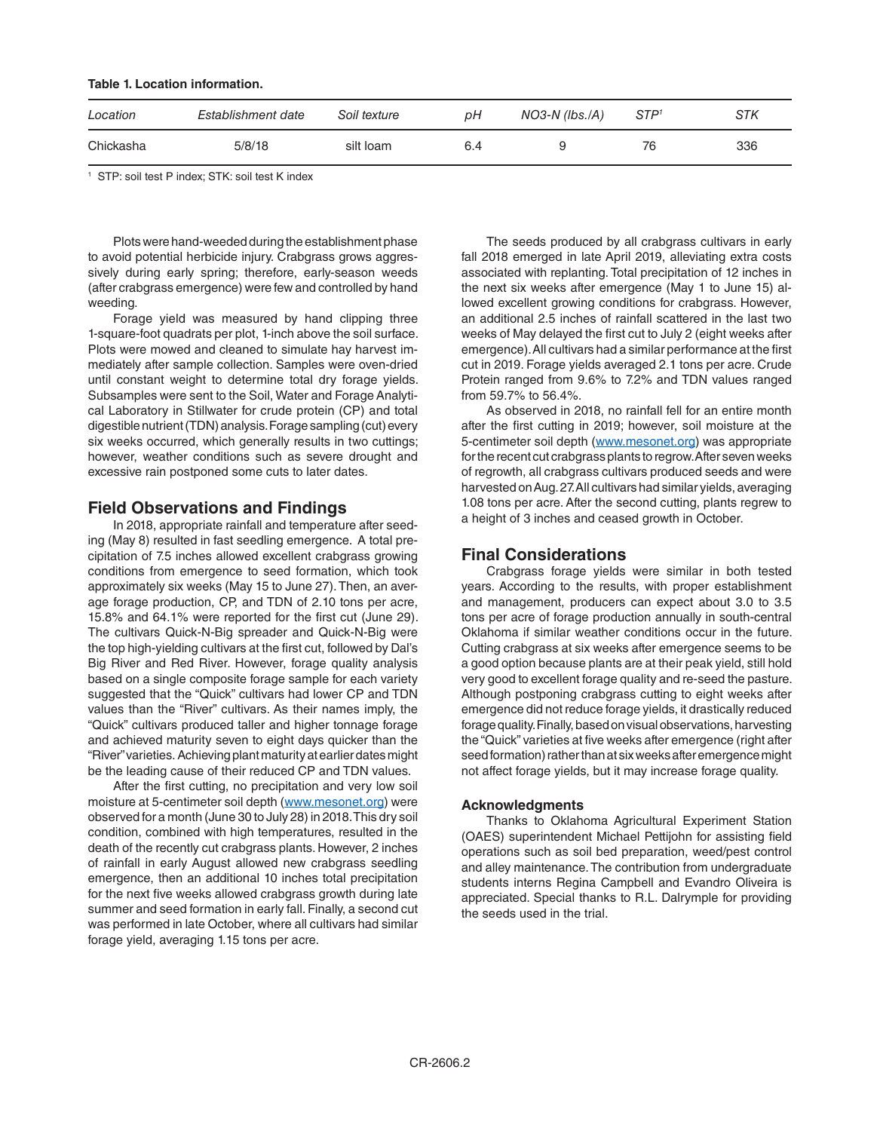| Location  | Establishment date | Soil texture | pН  | $NO3-N (lbs./A)$ | STP <sup>t</sup> | STK |
|-----------|--------------------|--------------|-----|------------------|------------------|-----|
| Chickasha | 5/8/18             | silt loam    | 6.4 |                  | 76               | 336 |

1 STP: soil test P index; STK: soil test K index

**Table 1. Location information.**

Plots were hand-weeded during the establishment phase to avoid potential herbicide injury. Crabgrass grows aggressively during early spring; therefore, early-season weeds (after crabgrass emergence) were few and controlled by hand weeding.

Forage yield was measured by hand clipping three 1-square-foot quadrats per plot, 1-inch above the soil surface. Plots were mowed and cleaned to simulate hay harvest immediately after sample collection. Samples were oven-dried until constant weight to determine total dry forage yields. Subsamples were sent to the Soil, Water and Forage Analytical Laboratory in Stillwater for crude protein (CP) and total digestible nutrient (TDN) analysis. Forage sampling (cut) every six weeks occurred, which generally results in two cuttings; however, weather conditions such as severe drought and excessive rain postponed some cuts to later dates.

#### **Field Observations and Findings**

In 2018, appropriate rainfall and temperature after seeding (May 8) resulted in fast seedling emergence. A total precipitation of 7.5 inches allowed excellent crabgrass growing conditions from emergence to seed formation, which took approximately six weeks (May 15 to June 27). Then, an average forage production, CP, and TDN of 2.10 tons per acre, 15.8% and 64.1% were reported for the first cut (June 29). The cultivars Quick-N-Big spreader and Quick-N-Big were the top high-yielding cultivars at the first cut, followed by Dal's Big River and Red River. However, forage quality analysis based on a single composite forage sample for each variety suggested that the "Quick" cultivars had lower CP and TDN values than the "River" cultivars. As their names imply, the "Quick" cultivars produced taller and higher tonnage forage and achieved maturity seven to eight days quicker than the "River" varieties. Achieving plant maturity at earlier dates might be the leading cause of their reduced CP and TDN values.

After the first cutting, no precipitation and very low soil moisture at 5-centimeter soil depth ([www.mesonet.org](http://www.mesonet.org)) were observed for a month (June 30 to July 28) in 2018. This dry soil condition, combined with high temperatures, resulted in the death of the recently cut crabgrass plants. However, 2 inches of rainfall in early August allowed new crabgrass seedling emergence, then an additional 10 inches total precipitation for the next five weeks allowed crabgrass growth during late summer and seed formation in early fall. Finally, a second cut was performed in late October, where all cultivars had similar forage yield, averaging 1.15 tons per acre.

The seeds produced by all crabgrass cultivars in early fall 2018 emerged in late April 2019, alleviating extra costs associated with replanting. Total precipitation of 12 inches in the next six weeks after emergence (May 1 to June 15) allowed excellent growing conditions for crabgrass. However, an additional 2.5 inches of rainfall scattered in the last two weeks of May delayed the first cut to July 2 (eight weeks after emergence). All cultivars had a similar performance at the first cut in 2019. Forage yields averaged 2.1 tons per acre. Crude Protein ranged from 9.6% to 7.2% and TDN values ranged from 59.7% to 56.4%.

As observed in 2018, no rainfall fell for an entire month after the first cutting in 2019; however, soil moisture at the 5-centimeter soil depth ([www.mesonet.org\)](http://www.mesonet.org) was appropriate for the recent cut crabgrass plants to regrow. After seven weeks of regrowth, all crabgrass cultivars produced seeds and were harvested on Aug. 27. All cultivars had similar yields, averaging 1.08 tons per acre. After the second cutting, plants regrew to a height of 3 inches and ceased growth in October.

#### **Final Considerations**

Crabgrass forage yields were similar in both tested years. According to the results, with proper establishment and management, producers can expect about 3.0 to 3.5 tons per acre of forage production annually in south-central Oklahoma if similar weather conditions occur in the future. Cutting crabgrass at six weeks after emergence seems to be a good option because plants are at their peak yield, still hold very good to excellent forage quality and re-seed the pasture. Although postponing crabgrass cutting to eight weeks after emergence did not reduce forage yields, it drastically reduced forage quality. Finally, based on visual observations, harvesting the "Quick" varieties at five weeks after emergence (right after seed formation) rather than at six weeks after emergence might not affect forage yields, but it may increase forage quality.

#### **Acknowledgments**

Thanks to Oklahoma Agricultural Experiment Station (OAES) superintendent Michael Pettijohn for assisting field operations such as soil bed preparation, weed/pest control and alley maintenance. The contribution from undergraduate students interns Regina Campbell and Evandro Oliveira is appreciated. Special thanks to R.L. Dalrymple for providing the seeds used in the trial.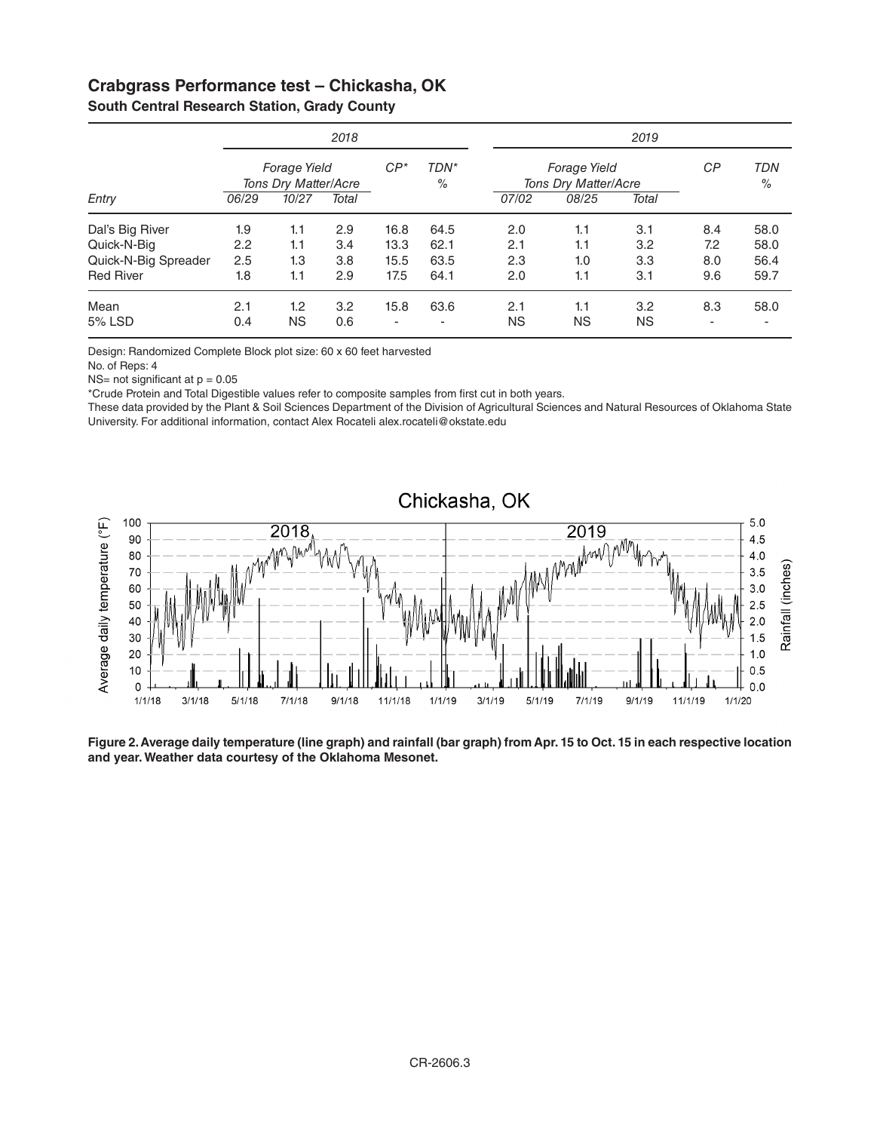### **Crabgrass Performance test – Chickasha, OK**

|                      | 2018                                 |           |       |                          | 2019                                        |           |           |     |                             |      |
|----------------------|--------------------------------------|-----------|-------|--------------------------|---------------------------------------------|-----------|-----------|-----|-----------------------------|------|
|                      | Forage Yield<br>Tons Dry Matter/Acre |           | $CP*$ | TDN*<br>$\%$             | <b>Forage Yield</b><br>Tons Dry Matter/Acre |           |           | СP  | <b>TDN</b><br>$\frac{0}{0}$ |      |
| Entry                | 10/27<br>06/29                       | Total     |       |                          | 07/02                                       | 08/25     | Total     |     |                             |      |
| Dal's Big River      | 1.9                                  | 1.1       | 2.9   | 16.8                     | 64.5                                        | 2.0       | 1.1       | 3.1 | 8.4                         | 58.0 |
| Quick-N-Big          | 2.2                                  | 1.1       | 3.4   | 13.3                     | 62.1                                        | 2.1       | 1.1       | 3.2 | 7.2                         | 58.0 |
| Quick-N-Big Spreader | 2.5                                  | 1.3       | 3.8   | 15.5                     | 63.5                                        | 2.3       | 1.0       | 3.3 | 8.0                         | 56.4 |
| <b>Red River</b>     | 1.8                                  | 1.1       | 2.9   | 17.5                     | 64.1                                        | 2.0       | 1.1       | 3.1 | 9.6                         | 59.7 |
| Mean                 | 2.1                                  | 1.2       | 3.2   | 15.8                     | 63.6                                        | 2.1       | 1.1       | 3.2 | 8.3                         | 58.0 |
| 5% LSD               | 0.4                                  | <b>NS</b> | 0.6   | $\overline{\phantom{a}}$ | -                                           | <b>NS</b> | <b>NS</b> | ΝS  | ۰                           |      |

**South Central Research Station, Grady County**

Design: Randomized Complete Block plot size: 60 x 60 feet harvested

No. of Reps: 4

 $NS=$  not significant at  $p = 0.05$ 

\*Crude Protein and Total Digestible values refer to composite samples from first cut in both years.

These data provided by the Plant & Soil Sciences Department of the Division of Agricultural Sciences and Natural Resources of Oklahoma State University. For additional information, contact Alex Rocateli [alex.rocateli@okstate.edu](mailto:alex.rocateli@okstate.edu) 



**Figure 2. Average daily temperature (line graph) and rainfall (bar graph) from Apr. 15 to Oct. 15 in each respective location and year. Weather data courtesy of the Oklahoma Mesonet.**